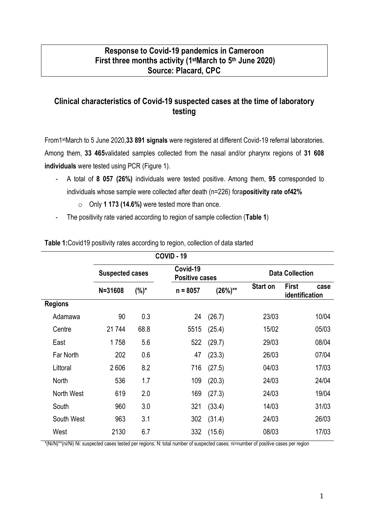## **Response to Covid-19 pandemics in Cameroon First three months activity (1 stMarch to 5th June 2020) Source: Placard, CPC**

# **Clinical characteristics of Covid-19 suspected cases at the time of laboratory testing**

From1 stMarch to 5 June 2020,**33 891 signals** were registered at different Covid-19 referral laboratories. Among them, **33 465**validated samples collected from the nasal and/or pharynx regions of **31 608 individuals** were tested using PCR (Figure 1).

- A total of **8 057 (26%)** individuals were tested positive. Among them, **95** corresponded to individuals whose sample were collected after death (n=226) fora**positivity rate of42%**
	- o Only **1 173 (14.6%)** were tested more than once.
- The positivity rate varied according to region of sample collection (**Table 1**)

|                | <b>COVID - 19</b>      |         |            |                       |                 |                                        |  |
|----------------|------------------------|---------|------------|-----------------------|-----------------|----------------------------------------|--|
|                | <b>Suspected cases</b> |         | Covid-19   | <b>Positive cases</b> |                 | <b>Data Collection</b>                 |  |
|                | $N = 31608$            | $(%)^*$ | $n = 8057$ | $(26%)**$             | <b>Start on</b> | <b>First</b><br>case<br>identification |  |
| <b>Regions</b> |                        |         |            |                       |                 |                                        |  |
| Adamawa        | 90                     | 0.3     | 24         | (26.7)                | 23/03           | 10/04                                  |  |
| Centre         | 21744                  | 68.8    | 5515       | (25.4)                | 15/02           | 05/03                                  |  |
| East           | 1758                   | 5.6     | 522        | (29.7)                | 29/03           | 08/04                                  |  |
| Far North      | 202                    | 0.6     | 47         | (23.3)                | 26/03           | 07/04                                  |  |
| Littoral       | 2606                   | 8.2     | 716        | (27.5)                | 04/03           | 17/03                                  |  |
| North          | 536                    | 1.7     | 109        | (20.3)                | 24/03           | 24/04                                  |  |
| North West     | 619                    | 2.0     | 169        | (27.3)                | 24/03           | 19/04                                  |  |
| South          | 960                    | 3.0     | 321        | (33.4)                | 14/03           | 31/03                                  |  |
| South West     | 963                    | 3.1     | 302        | (31.4)                | 24/03           | 26/03                                  |  |
| West           | 2130                   | 6.7     | 332        | (15.6)                | 08/03           | 17/03                                  |  |

**Table 1:**Covid19 positivity rates according to region, collection of data started

\*(Ni/N)\*\*(ni/Ni) Ni: suspected cases tested per regions; N: total number of suspected cases; ni=number of positive cases per region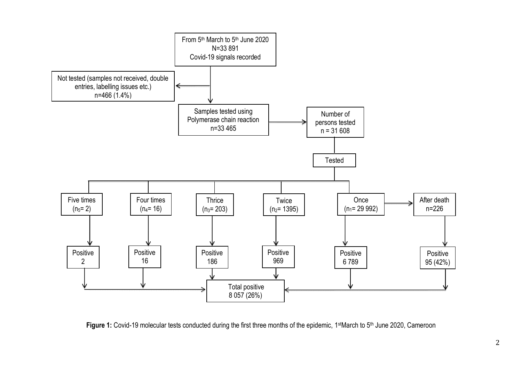

Figure 1: Covid-19 molecular tests conducted during the first three months of the epidemic, 1<sup>st</sup>March to 5<sup>th</sup> June 2020, Cameroon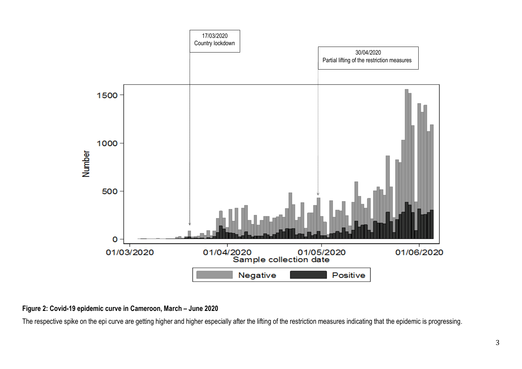

### **Figure 2: Covid-19 epidemic curve in Cameroon, March – June 2020**

The respective spike on the epi curve are getting higher and higher especially after the lifting of the restriction measures indicating that the epidemic is progressing.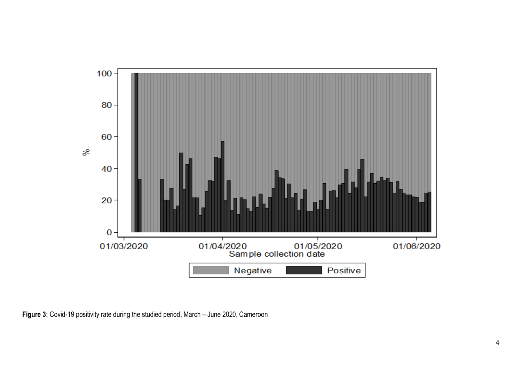

**Figure 3:** Covid-19 positivity rate during the studied period, March – June 2020, Cameroon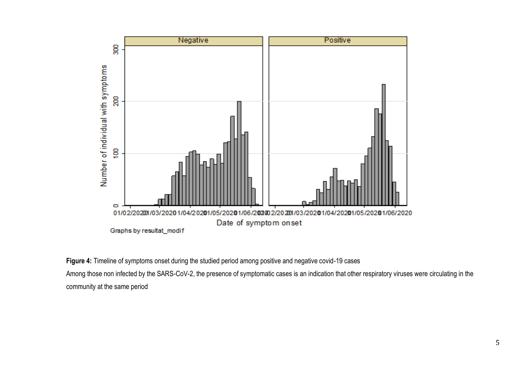

**Figure 4:** Timeline of symptoms onset during the studied period among positive and negative covid-19 cases

Among those non infected by the SARS-CoV-2, the presence of symptomatic cases is an indication that other respiratory viruses were circulating in the community at the same period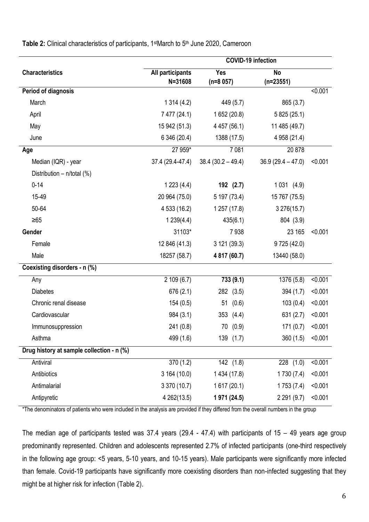|                                           | <b>COVID-19 infection</b>   |                          |                          |         |  |
|-------------------------------------------|-----------------------------|--------------------------|--------------------------|---------|--|
| <b>Characteristics</b>                    | All participants<br>N=31608 | <b>Yes</b><br>$(n=8057)$ | <b>No</b><br>$(n=23551)$ |         |  |
| <b>Period of diagnosis</b>                |                             |                          |                          | < 0.001 |  |
| March                                     | 1314(4.2)                   | 449 (5.7)                | 865 (3.7)                |         |  |
| April                                     | 7 477 (24.1)                | 1 652 (20.8)             | 5 825 (25.1)             |         |  |
| May                                       | 15 942 (51.3)               | 4 457 (56.1)             | 11 485 (49.7)            |         |  |
| June                                      | 6 346 (20.4)                | 1388 (17.5)              | 4 958 (21.4)             |         |  |
| Age                                       | 27 959*                     | 7081                     | 20878                    |         |  |
| Median (IQR) - year                       | 37.4 (29.4-47.4)            | $38.4 (30.2 - 49.4)$     | $36.9(29.4 - 47.0)$      | < 0.001 |  |
| Distribution - n/total (%)                |                             |                          |                          |         |  |
| $0 - 14$                                  | 1223(4.4)                   | 192 (2.7)                | 1031(4.9)                |         |  |
| 15-49                                     | 20 964 (75.0)               | 5 197 (73.4)             | 15 767 (75.5)            |         |  |
| 50-64                                     | 4 533 (16.2)                | 1257(17.8)               | 3 276(15.7)              |         |  |
| $\geq 65$                                 | 1239(4.4)                   | 435(6.1)                 | 804 (3.9)                |         |  |
| Gender                                    | 31103*                      | 7938                     | 23 165                   | < 0.001 |  |
| Female                                    | 12 846 (41.3)               | 3 121 (39.3)             | 9 725 (42.0)             |         |  |
| Male                                      | 18257 (58.7)                | 4 817 (60.7)             | 13440 (58.0)             |         |  |
| Coexisting disorders - n (%)              |                             |                          |                          |         |  |
| Any                                       | 2109(6.7)                   | 733 (9.1)                | 1376 (5.8)               | < 0.001 |  |
| <b>Diabetes</b>                           | 676 (2.1)                   | 282 (3.5)                | 394 (1.7)                | < 0.001 |  |
| Chronic renal disease                     | 154(0.5)                    | (0.6)<br>51              | 103(0.4)                 | < 0.001 |  |
| Cardiovascular                            | 984 (3.1)                   | 353 (4.4)                | 631(2.7)                 | < 0.001 |  |
| Immunosuppression                         | 241 (0.8)                   | 70 (0.9)                 | 171(0.7)                 | < 0.001 |  |
| Asthma                                    | 499 (1.6)                   | 139 (1.7)                | 360(1.5)                 | < 0.001 |  |
| Drug history at sample collection - n (%) |                             |                          |                          |         |  |
| Antiviral                                 | 370(1.2)                    | 142(1.8)                 | $228$ (1.0)              | < 0.001 |  |
| Antibiotics                               | 3 164 (10.0)                | 1 434 (17.8)             | 1730(7.4)                | < 0.001 |  |
| Antimalarial                              | 3 370 (10.7)                | 1617(20.1)               | 1753(7.4)                | < 0.001 |  |
| Antipyretic                               | 4 262(13.5)                 | 1 971 (24.5)             | 2 2 9 1 (9.7)            | < 0.001 |  |

Table 2: Clinical characteristics of participants, 1<sup>st</sup>March to 5<sup>th</sup> June 2020, Cameroon

\*The denominators of patients who were included in the analysis are provided if they differed from the overall numbers in the group

The median age of participants tested was 37.4 years (29.4 - 47.4) with participants of  $15 - 49$  years age group predominantly represented. Children and adolescents represented 2.7% of infected participants (one-third respectively in the following age group: <5 years, 5-10 years, and 10-15 years). Male participants were significantly more infected than female. Covid-19 participants have significantly more coexisting disorders than non-infected suggesting that they might be at higher risk for infection (Table 2).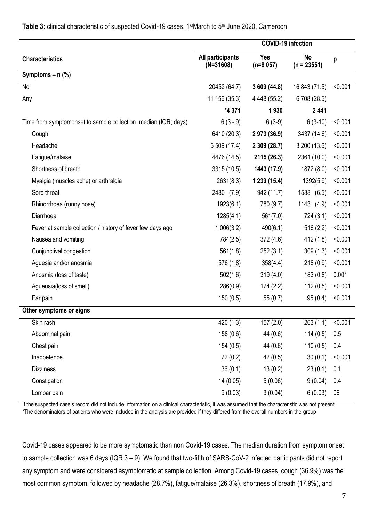|                                                                 | <b>COVID-19 infection</b>       |                          |                            |         |
|-----------------------------------------------------------------|---------------------------------|--------------------------|----------------------------|---------|
| <b>Characteristics</b>                                          | All participants<br>$(N=31608)$ | <b>Yes</b><br>$(n=8057)$ | <b>No</b><br>$(n = 23551)$ | p       |
| Symptoms $- n$ (%)                                              |                                 |                          |                            |         |
| No                                                              | 20452 (64.7)                    | 3 609 (44.8)             | 16 843 (71.5)              | < 0.001 |
| Any                                                             | 11 156 (35.3)                   | 4 4 4 4 (55.2)           | 6 708 (28.5)               |         |
|                                                                 | *4 371                          | 1930                     | 2441                       |         |
| Time from symptomonset to sample collection, median (IQR; days) | $6(3-9)$                        | $6(3-9)$                 | $6(3-10)$                  | < 0.001 |
| Cough                                                           | 6410 (20.3)                     | 2 973 (36.9)             | 3437 (14.6)                | < 0.001 |
| Headache                                                        | 5 509 (17.4)                    | 2 309 (28.7)             | 3 200 (13.6)               | < 0.001 |
| Fatigue/malaise                                                 | 4476 (14.5)                     | 2115 (26.3)              | 2361 (10.0)                | < 0.001 |
| Shortness of breath                                             | 3315 (10.5)                     | 1443 (17.9)              | 1872 (8.0)                 | < 0.001 |
| Myalgia (muscles ache) or arthralgia                            | 2631(8.3)                       | 1 239 (15.4)             | 1392(5.9)                  | < 0.001 |
| Sore throat                                                     | 2480 (7.9)                      | 942 (11.7)               | 1538 (6.5)                 | < 0.001 |
| Rhinorrhoea (runny nose)                                        | 1923(6.1)                       | 780 (9.7)                | 1143 (4.9)                 | < 0.001 |
| Diarrhoea                                                       | 1285(4.1)                       | 561(7.0)                 | 724 (3.1)                  | < 0.001 |
| Fever at sample collection / history of fever few days ago      | 1006(3.2)                       | 490(6.1)                 | 516 (2.2)                  | < 0.001 |
| Nausea and vomiting                                             | 784(2.5)                        | 372 (4.6)                | 412 (1.8)                  | < 0.001 |
| Conjunctival congestion                                         | 561(1.8)                        | 252(3.1)                 | 309(1.3)                   | < 0.001 |
| Aguesia and/or anosmia                                          | 576 (1.8)                       | 358(4.4)                 | 218(0.9)                   | < 0.001 |
| Anosmia (loss of taste)                                         | 502(1.6)                        | 319(4.0)                 | 183(0.8)                   | 0.001   |
| Agueusia(loss of smell)                                         | 286(0.9)                        | 174(2.2)                 | 112(0.5)                   | < 0.001 |
| Ear pain                                                        | 150(0.5)                        | 55(0.7)                  | 95(0.4)                    | < 0.001 |
| Other symptoms or signs                                         |                                 |                          |                            |         |
| Skin rash                                                       | 420 (1.3)                       | 157(2.0)                 | 263(1.1)                   | < 0.001 |
| Abdominal pain                                                  | 158 (0.6)                       | 44 (0.6)                 | 114(0.5)                   | 0.5     |
| Chest pain                                                      | 154(0.5)                        | 44 (0.6)                 | 110(0.5)                   | 0.4     |
| Inappetence                                                     | 72(0.2)                         | 42(0.5)                  | 30(0.1)                    | < 0.001 |
| <b>Dizziness</b>                                                | 36(0.1)                         | 13(0.2)                  | 23(0.1)                    | 0.1     |
| Constipation                                                    | 14 (0.05)                       | 5(0.06)                  | 9(0.04)                    | 0.4     |
| Lombar pain                                                     | 9(0.03)                         | 3(0.04)                  | 6(0.03)                    | 06      |

#### Table 3: clinical characteristic of suspected Covid-19 cases, 1<sup>st</sup>March to 5<sup>th</sup> June 2020, Cameroon

If the suspected case's record did not include information on a clinical characteristic, it was assumed that the characteristic was not present. \*The denominators of patients who were included in the analysis are provided if they differed from the overall numbers in the group

Covid-19 cases appeared to be more symptomatic than non Covid-19 cases. The median duration from symptom onset to sample collection was 6 days (IQR 3 – 9). We found that two-fifth of SARS-CoV-2 infected participants did not report any symptom and were considered asymptomatic at sample collection. Among Covid-19 cases, cough (36.9%) was the most common symptom, followed by headache (28.7%), fatigue/malaise (26.3%), shortness of breath (17.9%), and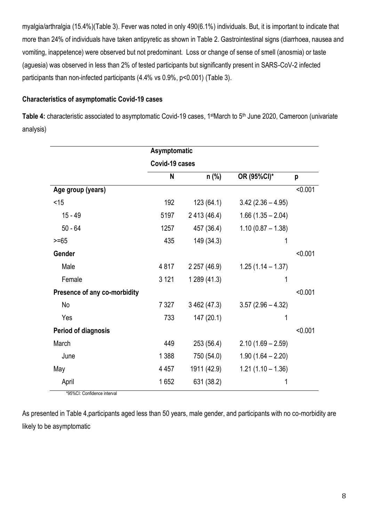myalgia/arthralgia (15.4%)(Table 3). Fever was noted in only 490(6.1%) individuals. But, it is important to indicate that more than 24% of individuals have taken antipyretic as shown in Table 2. Gastrointestinal signs (diarrhoea, nausea and vomiting, inappetence) were observed but not predominant. Loss or change of sense of smell (anosmia) or taste (aguesia) was observed in less than 2% of tested participants but significantly present in SARS-CoV-2 infected participants than non-infected participants (4.4% vs 0.9%, p<0.001) (Table 3).

### **Characteristics of asymptomatic Covid-19 cases**

Table 4: characteristic associated to asymptomatic Covid-19 cases, 1<sup>st</sup>March to 5<sup>th</sup> June 2020, Cameroon (univariate analysis)

|                              | Asymptomatic   |              |                     |         |  |
|------------------------------|----------------|--------------|---------------------|---------|--|
|                              | Covid-19 cases |              |                     |         |  |
|                              | N              | $n$ (%)      | OR (95%CI)*         | p       |  |
| Age group (years)            |                |              |                     | < 0.001 |  |
| $<$ 15                       | 192            | 123(64.1)    | $3.42(2.36 - 4.95)$ |         |  |
| $15 - 49$                    | 5197           | 2 413 (46.4) | $1.66(1.35 - 2.04)$ |         |  |
| $50 - 64$                    | 1257           | 457 (36.4)   | $1.10(0.87 - 1.38)$ |         |  |
| $>= 65$                      | 435            | 149 (34.3)   | 1                   |         |  |
| Gender                       |                |              |                     | < 0.001 |  |
| Male                         | 4817           | 2 257 (46.9) | $1.25(1.14 - 1.37)$ |         |  |
| Female                       | 3 1 2 1        | 1 289 (41.3) | 1                   |         |  |
| Presence of any co-morbidity |                |              |                     | < 0.001 |  |
| No                           | 7 3 2 7        | 3 462 (47.3) | $3.57(2.96 - 4.32)$ |         |  |
| Yes                          | 733            | 147 (20.1)   | 1                   |         |  |
| <b>Period of diagnosis</b>   |                |              |                     | < 0.001 |  |
| March                        | 449            | 253 (56.4)   | $2.10(1.69 - 2.59)$ |         |  |
| June                         | 1 3 8 8        | 750 (54.0)   | $1.90(1.64 - 2.20)$ |         |  |
| May                          | 4 4 5 7        | 1911 (42.9)  | $1.21(1.10 - 1.36)$ |         |  |
| April                        | 1652           | 631 (38.2)   | 1                   |         |  |

\*95%CI: Confidence interval

As presented in Table 4,participants aged less than 50 years, male gender, and participants with no co-morbidity are likely to be asymptomatic